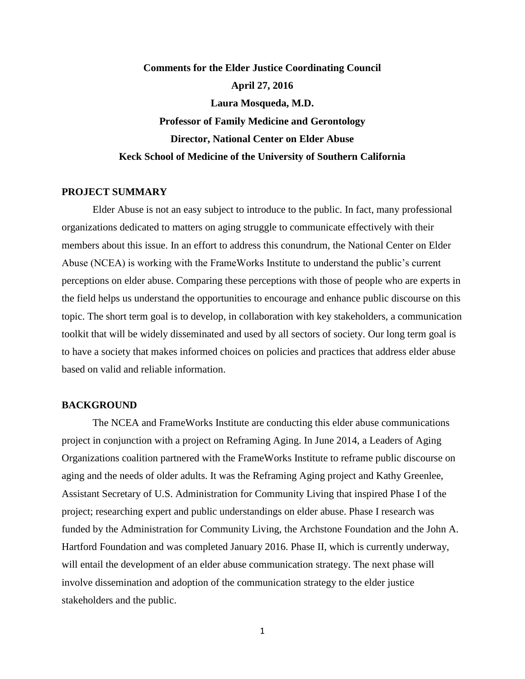# **Comments for the Elder Justice Coordinating Council April 27, 2016 Laura Mosqueda, M.D. Professor of Family Medicine and Gerontology Director, National Center on Elder Abuse Keck School of Medicine of the University of Southern California**

## **PROJECT SUMMARY**

Elder Abuse is not an easy subject to introduce to the public. In fact, many professional organizations dedicated to matters on aging struggle to communicate effectively with their members about this issue. In an effort to address this conundrum, the National Center on Elder Abuse (NCEA) is working with the FrameWorks Institute to understand the public's current perceptions on elder abuse. Comparing these perceptions with those of people who are experts in the field helps us understand the opportunities to encourage and enhance public discourse on this topic. The short term goal is to develop, in collaboration with key stakeholders, a communication toolkit that will be widely disseminated and used by all sectors of society. Our long term goal is to have a society that makes informed choices on policies and practices that address elder abuse based on valid and reliable information.

## **BACKGROUND**

The NCEA and FrameWorks Institute are conducting this elder abuse communications project in conjunction with a project on Reframing Aging. In June 2014, a Leaders of Aging Organizations coalition partnered with the FrameWorks Institute to reframe public discourse on aging and the needs of older adults. It was the Reframing Aging project and Kathy Greenlee, Assistant Secretary of U.S. Administration for Community Living that inspired Phase I of the project; researching expert and public understandings on elder abuse. Phase I research was funded by the Administration for Community Living, the Archstone Foundation and the John A. Hartford Foundation and was completed January 2016. Phase II, which is currently underway, will entail the development of an elder abuse communication strategy. The next phase will involve dissemination and adoption of the communication strategy to the elder justice stakeholders and the public.

1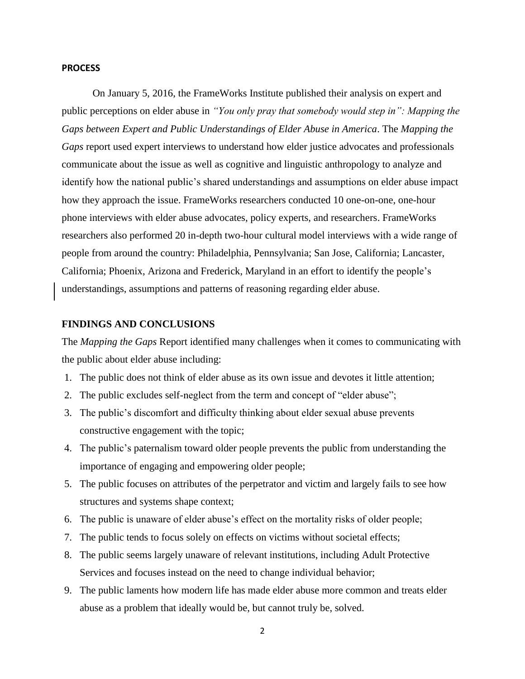#### **PROCESS**

On January 5, 2016, the FrameWorks Institute published their analysis on expert and public perceptions on elder abuse in *"You only pray that somebody would step in": Mapping the Gaps between Expert and Public Understandings of Elder Abuse in America*. The *Mapping the Gaps* report used expert interviews to understand how elder justice advocates and professionals communicate about the issue as well as cognitive and linguistic anthropology to analyze and identify how the national public's shared understandings and assumptions on elder abuse impact how they approach the issue. FrameWorks researchers conducted 10 one-on-one, one-hour phone interviews with elder abuse advocates, policy experts, and researchers. FrameWorks researchers also performed 20 in-depth two-hour cultural model interviews with a wide range of people from around the country: Philadelphia, Pennsylvania; San Jose, California; Lancaster, California; Phoenix, Arizona and Frederick, Maryland in an effort to identify the people's understandings, assumptions and patterns of reasoning regarding elder abuse.

# **FINDINGS AND CONCLUSIONS**

The *Mapping the Gaps* Report identified many challenges when it comes to communicating with the public about elder abuse including:

- 1. The public does not think of elder abuse as its own issue and devotes it little attention;
- 2. The public excludes self-neglect from the term and concept of "elder abuse";
- 3. The public's discomfort and difficulty thinking about elder sexual abuse prevents constructive engagement with the topic;
- 4. The public's paternalism toward older people prevents the public from understanding the importance of engaging and empowering older people;
- 5. The public focuses on attributes of the perpetrator and victim and largely fails to see how structures and systems shape context;
- 6. The public is unaware of elder abuse's effect on the mortality risks of older people;
- 7. The public tends to focus solely on effects on victims without societal effects;
- 8. The public seems largely unaware of relevant institutions, including Adult Protective Services and focuses instead on the need to change individual behavior;
- 9. The public laments how modern life has made elder abuse more common and treats elder abuse as a problem that ideally would be, but cannot truly be, solved.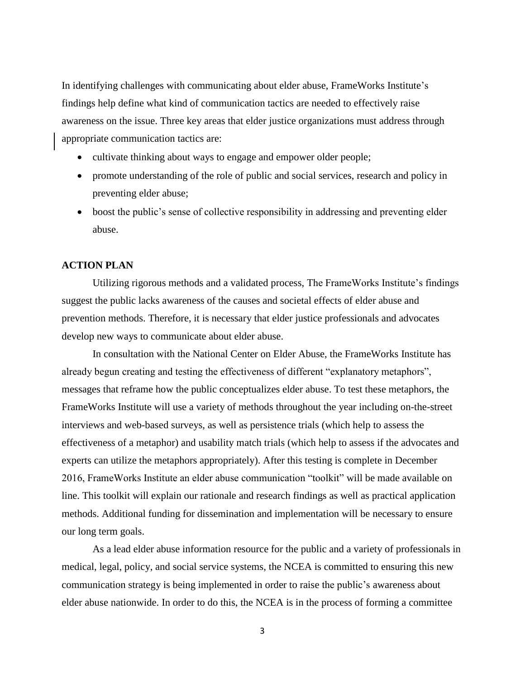In identifying challenges with communicating about elder abuse, FrameWorks Institute's findings help define what kind of communication tactics are needed to effectively raise awareness on the issue. Three key areas that elder justice organizations must address through appropriate communication tactics are:

- cultivate thinking about ways to engage and empower older people;
- promote understanding of the role of public and social services, research and policy in preventing elder abuse;
- boost the public's sense of collective responsibility in addressing and preventing elder abuse.

# **ACTION PLAN**

Utilizing rigorous methods and a validated process, The FrameWorks Institute's findings suggest the public lacks awareness of the causes and societal effects of elder abuse and prevention methods. Therefore, it is necessary that elder justice professionals and advocates develop new ways to communicate about elder abuse.

In consultation with the National Center on Elder Abuse, the FrameWorks Institute has already begun creating and testing the effectiveness of different "explanatory metaphors", messages that reframe how the public conceptualizes elder abuse. To test these metaphors, the FrameWorks Institute will use a variety of methods throughout the year including on-the-street interviews and web-based surveys, as well as persistence trials (which help to assess the effectiveness of a metaphor) and usability match trials (which help to assess if the advocates and experts can utilize the metaphors appropriately). After this testing is complete in December 2016, FrameWorks Institute an elder abuse communication "toolkit" will be made available on line. This toolkit will explain our rationale and research findings as well as practical application methods. Additional funding for dissemination and implementation will be necessary to ensure our long term goals.

As a lead elder abuse information resource for the public and a variety of professionals in medical, legal, policy, and social service systems, the NCEA is committed to ensuring this new communication strategy is being implemented in order to raise the public's awareness about elder abuse nationwide. In order to do this, the NCEA is in the process of forming a committee

3